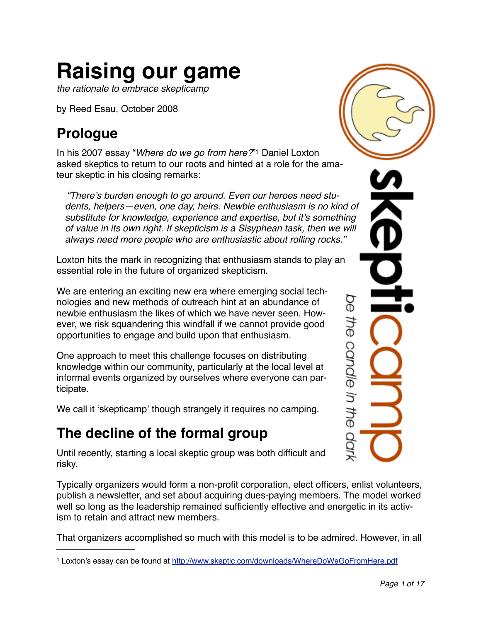# **Raising our game**

*the rationale to embrace skepticamp*

by Reed Esau, October 2008

# **Prologue**

In his 2007 essay "*[Where do we go from here?](http://www.skeptic.com/downloads/WhereDoWeGoFromHere.pdf)*["1](#page-0-0) Daniel Loxton asked skeptics to return to our roots and hinted at a role for the amateur skeptic in his closing remarks:

*"There*'*s burden enough to go around. Even our heroes need students, helpers—even, one day, heirs. Newbie enthusiasm is no kind of substitute for knowledge, experience and expertise, but it*'*s something of value in its own right. If skepticism is a Sisyphean task, then we will always need more people who are enthusiastic about rolling rocks."*

Loxton hits the mark in recognizing that enthusiasm stands to play an essential role in the future of organized skepticism.

We are entering an exciting new era where emerging social technologies and new methods of outreach hint at an abundance of newbie enthusiasm the likes of which we have never seen. However, we risk squandering this windfall if we cannot provide good opportunities to engage and build upon that enthusiasm.

One approach to meet this challenge focuses on distributing knowledge within our community, particularly at the local level at informal events organized by ourselves where everyone can participate.

We call it ʻskepticamp' though strangely it requires no camping.

# **The decline of the formal group**

Until recently, starting a local skeptic group was both difficult and risky.

Typically organizers would form a non-profit corporation, elect officers, enlist volunteers, publish a newsletter, and set about acquiring dues-paying members. The model worked well so long as the leadership remained sufficiently effective and energetic in its activism to retain and attract new members.

That organizers accomplished so much with this model is to be admired. However, in all

ΘQ the canale in the OOT

<span id="page-0-0"></span><sup>1</sup> Loxton's essay can be found at [http://www.skeptic.com/downloads/WhereDoWeGoFromHere.pdf](http://www.skeptic.com/downloads/WhereDoWeGoFromHere.pdf%06)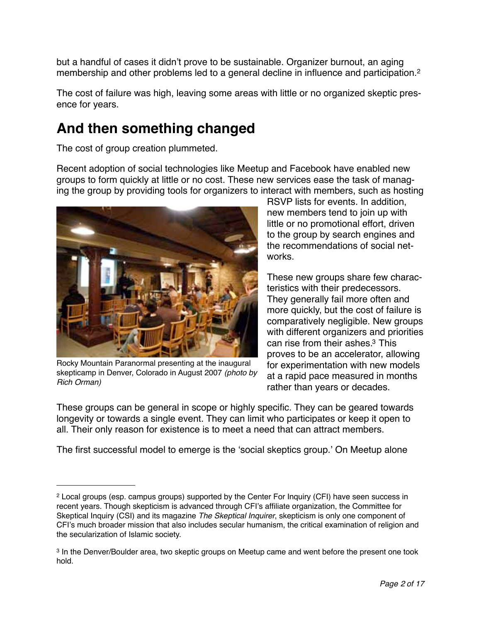but a handful of cases it didn't prove to be sustainable. Organizer burnout, an aging membership and other problems led to a general decline in influence and participation.<sup>[2](#page-1-0)</sup>

The cost of failure was high, leaving some areas with little or no organized skeptic presence for years.

# **And then something changed**

The cost of group creation plummeted.

Recent adoption of social technologies like Meetup and Facebook have enabled new groups to form quickly at little or no cost. These new services ease the task of managing the group by providing tools for organizers to interact with members, such as hosting



Rocky Mountain Paranormal presenting at the inaugural skepticamp in Denver, Colorado in August 2007 *(photo by Rich Orman)*

RSVP lists for events. In addition, new members tend to join up with little or no promotional effort, driven to the group by search engines and the recommendations of social networks.

These new groups share few characteristics with their predecessors. They generally fail more often and more quickly, but the cost of failure is comparatively negligible. New groups with different organizers and priorities can rise from their ashes[.3](#page-1-1) This proves to be an accelerator, allowing for experimentation with new models at a rapid pace measured in months rather than years or decades.

These groups can be general in scope or highly specific. They can be geared towards longevity or towards a single event. They can limit who participates or keep it open to all. Their only reason for existence is to meet a need that can attract members.

The first successful model to emerge is the ʻsocial skeptics group.' On Meetup alone

<span id="page-1-0"></span><sup>2</sup> Local groups (esp. campus groups) supported by the Center For Inquiry (CFI) have seen success in recent years. Though skepticism is advanced through CFI's affiliate organization, the Committee for Skeptical Inquiry (CSI) and its magazine *The Skeptical Inquirer*, skepticism is only one component of CFI's much broader mission that also includes secular humanism, the critical examination of religion and the secularization of Islamic society.

<span id="page-1-1"></span><sup>3</sup> In the Denver/Boulder area, two skeptic groups on Meetup came and went before the present one took hold.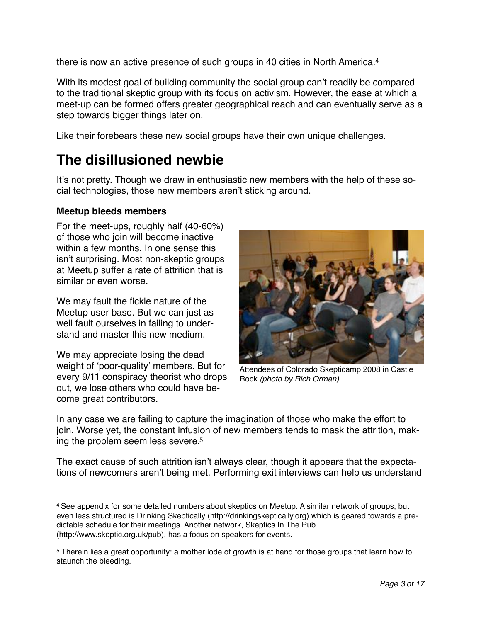there is now an active presence of such groups in 40 cities in North America[.4](#page-2-0)

With its modest goal of building community the social group can't readily be compared to the traditional skeptic group with its focus on activism. However, the ease at which a meet-up can be formed offers greater geographical reach and can eventually serve as a step towards bigger things later on.

Like their forebears these new social groups have their own unique challenges.

# **The disillusioned newbie**

It's not pretty. Though we draw in enthusiastic new members with the help of these social technologies, those new members aren't sticking around.

#### **Meetup bleeds members**

For the meet-ups, roughly half (40-60%) of those who join will become inactive within a few months. In one sense this isn't surprising. Most non-skeptic groups at Meetup suffer a rate of attrition that is similar or even worse.

We may fault the fickle nature of the Meetup user base. But we can just as well fault ourselves in failing to understand and master this new medium.

We may appreciate losing the dead weight of ʻpoor-quality' members. But for every 9/11 conspiracy theorist who drops out, we lose others who could have become great contributors.



Attendees of Colorado Skepticamp 2008 in Castle Rock *(photo by Rich Orman)*

In any case we are failing to capture the imagination of those who make the effort to join. Worse yet, the constant infusion of new members tends to mask the attrition, making the problem seem less severe[.5](#page-2-1)

The exact cause of such attrition isn't always clear, though it appears that the expectations of newcomers aren't being met. Performing exit interviews can help us understand

<span id="page-2-0"></span><sup>4</sup> See appendix for some detailed numbers about skeptics on Meetup. A similar network of groups, but even less structured is Drinking Skeptically (<http://drinkingskeptically.org>) which is geared towards a predictable schedule for their meetings. Another network, Skeptics In The Pub [\(http://www.skeptic.org.uk/pub](http://www.skeptic.org.uk/pub)), has a focus on speakers for events.

<span id="page-2-1"></span><sup>5</sup> Therein lies a great opportunity: a mother lode of growth is at hand for those groups that learn how to staunch the bleeding.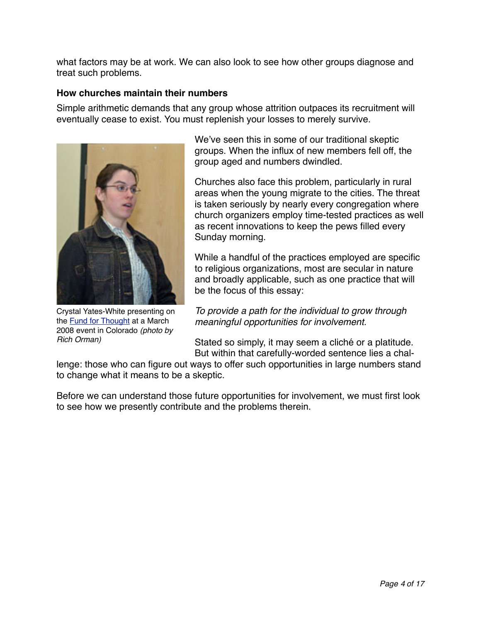what factors may be at work. We can also look to see how other groups diagnose and treat such problems.

#### **How churches maintain their numbers**

Simple arithmetic demands that any group whose attrition outpaces its recruitment will eventually cease to exist. You must replenish your losses to merely survive.



Crystal Yates-White presenting on the [Fund for Thought](http://www.fundforthought.com/) at a March 2008 event in Colorado *(photo by Rich Orman)*

We've seen this in some of our traditional skeptic groups. When the influx of new members fell off, the group aged and numbers dwindled.

Churches also face this problem, particularly in rural areas when the young migrate to the cities. The threat is taken seriously by nearly every congregation where church organizers employ time-tested practices as well as recent innovations to keep the pews filled every Sunday morning.

While a handful of the practices employed are specific to religious organizations, most are secular in nature and broadly applicable, such as one practice that will be the focus of this essay:

*To provide a path for the individual to grow through meaningful opportunities for involvement.*

Stated so simply, it may seem a cliché or a platitude. But within that carefully-worded sentence lies a chal-

lenge: those who can figure out ways to offer such opportunities in large numbers stand to change what it means to be a skeptic.

Before we can understand those future opportunities for involvement, we must first look to see how we presently contribute and the problems therein.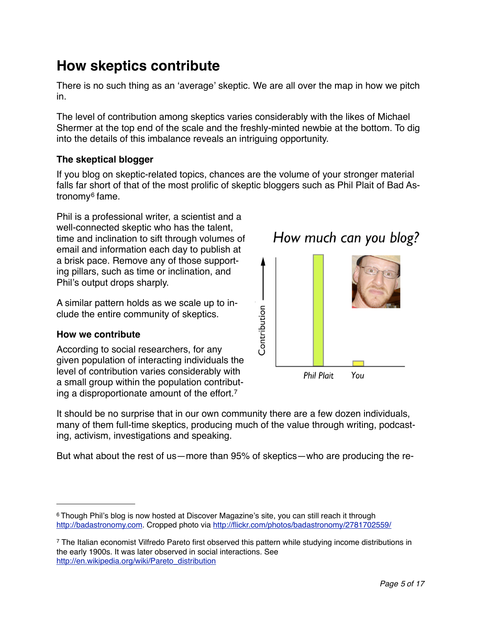# **How skeptics contribute**

There is no such thing as an ʻaverage' skeptic. We are all over the map in how we pitch in.

The level of contribution among skeptics varies considerably with the likes of Michael Shermer at the top end of the scale and the freshly-minted newbie at the bottom. To dig into the details of this imbalance reveals an intriguing opportunity.

#### **The skeptical blogger**

If you blog on skeptic-related topics, chances are the volume of your stronger material falls far short of that of the most prolific of skeptic bloggers such as Phil Plait of Bad Astronomy[6](#page-4-0) fame.

Phil is a professional writer, a scientist and a well-connected skeptic who has the talent, time and inclination to sift through volumes of email and information each day to publish at a brisk pace. Remove any of those supporting pillars, such as time or inclination, and Phil's output drops sharply.

A similar pattern holds as we scale up to include the entire community of skeptics.

#### **How we contribute**

According to social researchers, for any given population of interacting individuals the level of contribution varies considerably with a small group within the population contributing a disproportionate amount of the effort.[7](#page-4-1)



**Phil Plait** You

It should be no surprise that in our own community there are a few dozen individuals, many of them full-time skeptics, producing much of the value through writing, podcasting, activism, investigations and speaking.

But what about the rest of us—more than 95% of skeptics—who are producing the re-

<span id="page-4-1"></span>7 The Italian economist Vilfredo Pareto first observed this pattern while studying income distributions in the early 1900s. It was later observed in social interactions. See [http://en.wikipedia.org/wiki/Pareto\\_distribution](http://en.wikipedia.org/wiki/Pareto_distribution%06)

<span id="page-4-0"></span><sup>&</sup>lt;sup>6</sup> Though Phil's blog is now hosted at Discover Magazine's site, you can still reach it through <http://badastronomy.com>. Cropped photo via<http://flickr.com/photos/badastronomy/2781702559/>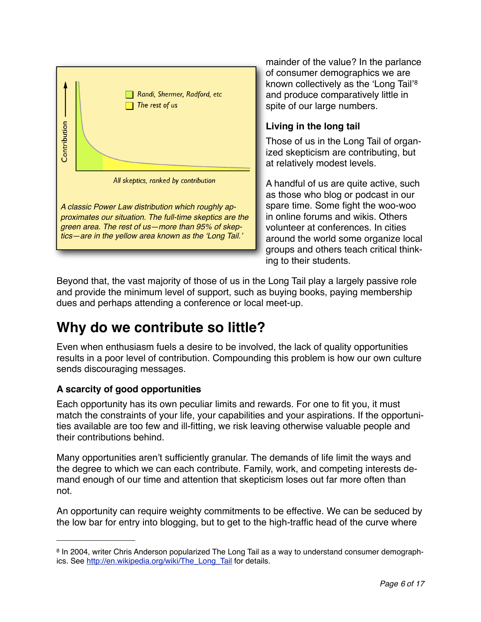

mainder of the value? In the parlance of consumer demographics we are known collectively as the ʻLong Tail'[8](#page-5-0) and produce comparatively little in spite of our large numbers.

#### **Living in the long tail**

Those of us in the Long Tail of organized skepticism are contributing, but at relatively modest levels.

A handful of us are quite active, such as those who blog or podcast in our spare time. Some fight the woo-woo in online forums and wikis. Others volunteer at conferences. In cities around the world some organize local groups and others teach critical thinking to their students.

Beyond that, the vast majority of those of us in the Long Tail play a largely passive role and provide the minimum level of support, such as buying books, paying membership dues and perhaps attending a conference or local meet-up.

# **Why do we contribute so little?**

Even when enthusiasm fuels a desire to be involved, the lack of quality opportunities results in a poor level of contribution. Compounding this problem is how our own culture sends discouraging messages.

#### **A scarcity of good opportunities**

Each opportunity has its own peculiar limits and rewards. For one to fit you, it must match the constraints of your life, your capabilities and your aspirations. If the opportunities available are too few and ill-fitting, we risk leaving otherwise valuable people and their contributions behind.

Many opportunities aren't sufficiently granular. The demands of life limit the ways and the degree to which we can each contribute. Family, work, and competing interests demand enough of our time and attention that skepticism loses out far more often than not.

An opportunity can require weighty commitments to be effective. We can be seduced by the low bar for entry into blogging, but to get to the high-traffic head of the curve where

<span id="page-5-0"></span><sup>8</sup> In 2004, writer Chris Anderson popularized The Long Tail as a way to understand consumer demographics. See [http://en.wikipedia.org/wiki/The\\_Long\\_Tail](http://en.wikipedia.org/wiki/The_Long_Tail) for details.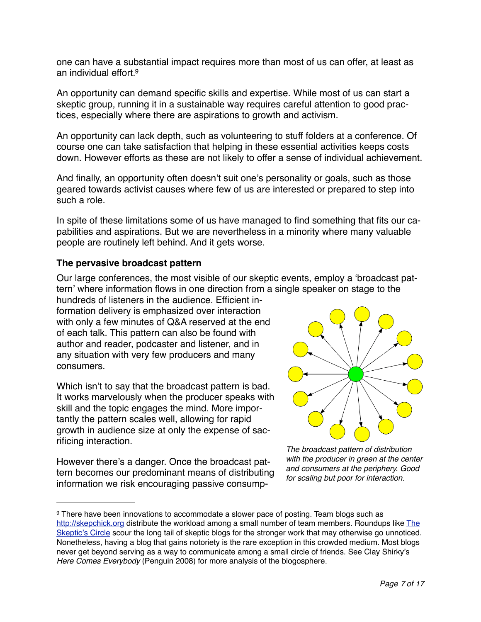one can have a substantial impact requires more than most of us can offer, at least as an individual effort  $9$ .

An opportunity can demand specific skills and expertise. While most of us can start a skeptic group, running it in a sustainable way requires careful attention to good practices, especially where there are aspirations to growth and activism.

An opportunity can lack depth, such as volunteering to stuff folders at a conference. Of course one can take satisfaction that helping in these essential activities keeps costs down. However efforts as these are not likely to offer a sense of individual achievement.

And finally, an opportunity often doesn't suit one's personality or goals, such as those geared towards activist causes where few of us are interested or prepared to step into such a role.

In spite of these limitations some of us have managed to find something that fits our capabilities and aspirations. But we are nevertheless in a minority where many valuable people are routinely left behind. And it gets worse.

#### **The pervasive broadcast pattern**

Our large conferences, the most visible of our skeptic events, employ a ʻbroadcast pattern' where information flows in one direction from a single speaker on stage to the

hundreds of listeners in the audience. Efficient information delivery is emphasized over interaction with only a few minutes of Q&A reserved at the end of each talk. This pattern can also be found with author and reader, podcaster and listener, and in any situation with very few producers and many consumers.

Which isn't to say that the broadcast pattern is bad. It works marvelously when the producer speaks with skill and the topic engages the mind. More importantly the pattern scales well, allowing for rapid growth in audience size at only the expense of sacrificing interaction.

However there's a danger. Once the broadcast pattern becomes our predominant means of distributing information we risk encouraging passive consump-



*The broadcast pattern of distribution with the producer in green at the center and consumers at the periphery. Good for scaling but poor for interaction.*

<span id="page-6-0"></span><sup>9</sup> There have been innovations to accommodate a slower pace of posting. Team blogs such as <http://skepchick.org> distribute the workload among a small number of team members. Roundups like [The](http://skepticscircle.blogspot.com/)  Skeptic'[s Circle](http://skepticscircle.blogspot.com/) scour the long tail of skeptic blogs for the stronger work that may otherwise go unnoticed. Nonetheless, having a blog that gains notoriety is the rare exception in this crowded medium. Most blogs never get beyond serving as a way to communicate among a small circle of friends. See Clay Shirky's *Here Comes Everybody* (Penguin 2008) for more analysis of the blogosphere.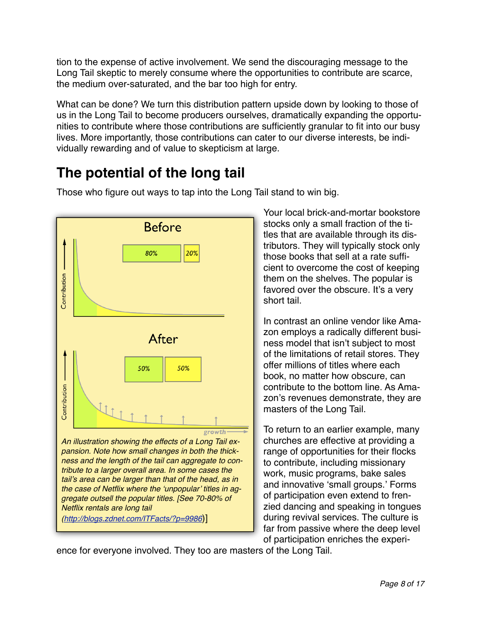tion to the expense of active involvement. We send the discouraging message to the Long Tail skeptic to merely consume where the opportunities to contribute are scarce, the medium over-saturated, and the bar too high for entry.

What can be done? We turn this distribution pattern upside down by looking to those of us in the Long Tail to become producers ourselves, dramatically expanding the opportunities to contribute where those contributions are sufficiently granular to fit into our busy lives. More importantly, those contributions can cater to our diverse interests, be individually rewarding and of value to skepticism at large.

# **The potential of the long tail**



Those who figure out ways to tap into the Long Tail stand to win big.

Your local brick-and-mortar bookstore stocks only a small fraction of the titles that are available through its distributors. They will typically stock only those books that sell at a rate sufficient to overcome the cost of keeping them on the shelves. The popular is favored over the obscure. It's a very short tail.

In contrast an online vendor like Amazon employs a radically different business model that isn't subject to most of the limitations of retail stores. They offer millions of titles where each book, no matter how obscure, can contribute to the bottom line. As Amazon's revenues demonstrate, they are masters of the Long Tail.

To return to an earlier example, many churches are effective at providing a range of opportunities for their flocks to contribute, including missionary work, music programs, bake sales and innovative ʻsmall groups.' Forms of participation even extend to frenzied dancing and speaking in tongues during revival services. The culture is far from passive where the deep level of participation enriches the experi-

ence for everyone involved. They too are masters of the Long Tail.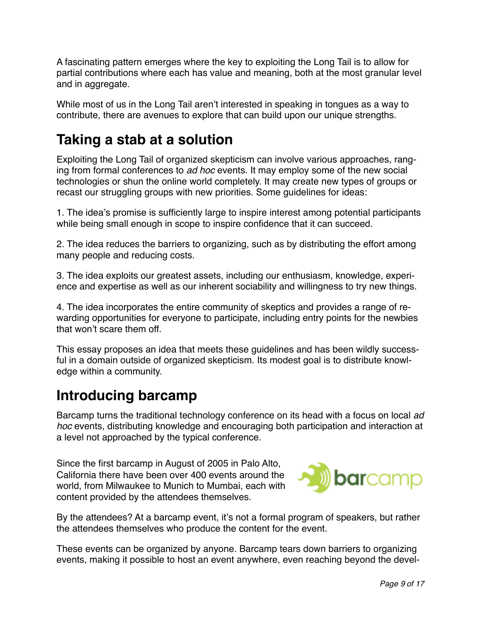A fascinating pattern emerges where the key to exploiting the Long Tail is to allow for partial contributions where each has value and meaning, both at the most granular level and in aggregate.

While most of us in the Long Tail aren't interested in speaking in tongues as a way to contribute, there are avenues to explore that can build upon our unique strengths.

# **Taking a stab at a solution**

Exploiting the Long Tail of organized skepticism can involve various approaches, ranging from formal conferences to *ad hoc* events. It may employ some of the new social technologies or shun the online world completely. It may create new types of groups or recast our struggling groups with new priorities. Some guidelines for ideas:

1. The idea's promise is sufficiently large to inspire interest among potential participants while being small enough in scope to inspire confidence that it can succeed.

2. The idea reduces the barriers to organizing, such as by distributing the effort among many people and reducing costs.

3. The idea exploits our greatest assets, including our enthusiasm, knowledge, experience and expertise as well as our inherent sociability and willingness to try new things.

4. The idea incorporates the entire community of skeptics and provides a range of rewarding opportunities for everyone to participate, including entry points for the newbies that won't scare them off.

This essay proposes an idea that meets these guidelines and has been wildly successful in a domain outside of organized skepticism. Its modest goal is to distribute knowledge within a community.

### **Introducing barcamp**

Barcamp turns the traditional technology conference on its head with a focus on local *ad hoc* events, distributing knowledge and encouraging both participation and interaction at a level not approached by the typical conference.

Since the first barcamp in August of 2005 in Palo Alto, California there have been over 400 events around the world, from Milwaukee to Munich to Mumbai, each with content provided by the attendees themselves.



By the attendees? At a barcamp event, it's not a formal program of speakers, but rather the attendees themselves who produce the content for the event.

These events can be organized by anyone. Barcamp tears down barriers to organizing events, making it possible to host an event anywhere, even reaching beyond the devel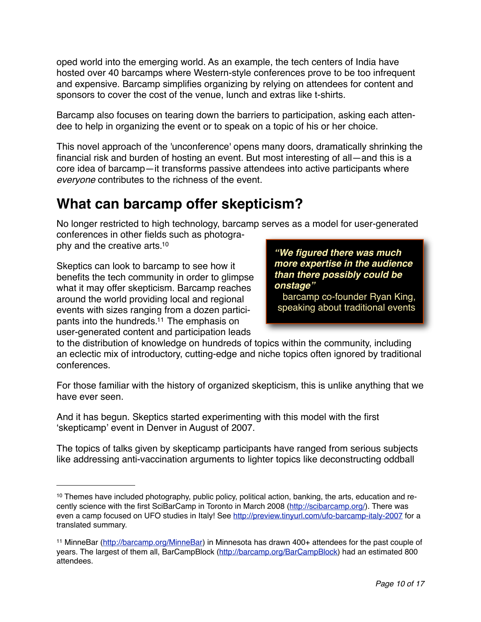oped world into the emerging world. As an example, the tech centers of India have hosted over 40 barcamps where Western-style conferences prove to be too infrequent and expensive. Barcamp simplifies organizing by relying on attendees for content and sponsors to cover the cost of the venue, lunch and extras like t-shirts.

Barcamp also focuses on tearing down the barriers to participation, asking each attendee to help in organizing the event or to speak on a topic of his or her choice.

This novel approach of the 'unconference' opens many doors, dramatically shrinking the financial risk and burden of hosting an event. But most interesting of all—and this is a core idea of barcamp—it transforms passive attendees into active participants where *everyone* contributes to the richness of the event.

# **What can barcamp offer skepticism?**

No longer restricted to high technology, barcamp serves as a model for user-generated conferences in other fields such as photogra-

phy and the creative arts[.10](#page-9-0)

Skeptics can look to barcamp to see how it benefits the tech community in order to glimpse what it may offer skepticism. Barcamp reaches around the world providing local and regional events with sizes ranging from a dozen participants into the hundreds[.11](#page-9-1) The emphasis on user-generated content and participation leads

*"We figured there was much more expertise in the audience than there possibly could be onstage"*

barcamp co-founder Ryan King, speaking about traditional events

to the distribution of knowledge on hundreds of topics within the community, including an eclectic mix of introductory, cutting-edge and niche topics often ignored by traditional conferences.

For those familiar with the history of organized skepticism, this is unlike anything that we have ever seen.

And it has begun. Skeptics started experimenting with this model with the first ʻskepticamp' event in Denver in August of 2007.

The topics of talks given by skepticamp participants have ranged from serious subjects like addressing anti-vaccination arguments to lighter topics like deconstructing oddball

<span id="page-9-0"></span><sup>10</sup> Themes have included photography, public policy, political action, banking, the arts, education and recently science with the first SciBarCamp in Toronto in March 2008 ([http://scibarcamp.org/\)](http://scibarcamp.org). There was even a camp focused on UFO studies in Italy! See<http://preview.tinyurl.com/ufo-barcamp-italy-2007>for a translated summary.

<span id="page-9-1"></span><sup>11</sup> MinneBar [\(http://barcamp.org/MinneBar\)](http://barcamp.org/MinneBar) in Minnesota has drawn 400+ attendees for the past couple of years. The largest of them all, BarCampBlock [\(http://barcamp.org/BarCampBlock\)](http://barcamp.org/BarCampBlock) had an estimated 800 attendees.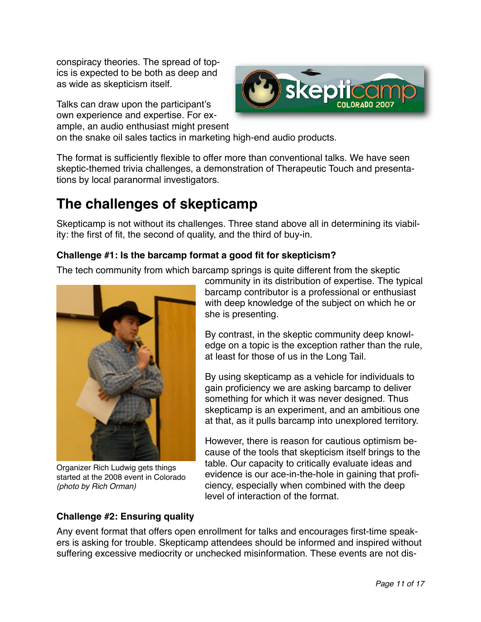conspiracy theories. The spread of topics is expected to be both as deep and as wide as skepticism itself.

Talks can draw upon the participant's own experience and expertise. For example, an audio enthusiast might present



on the snake oil sales tactics in marketing high-end audio products.

The format is sufficiently flexible to offer more than conventional talks. We have seen skeptic-themed trivia challenges, a demonstration of Therapeutic Touch and presentations by local paranormal investigators.

# **The challenges of skepticamp**

Skepticamp is not without its challenges. Three stand above all in determining its viability: the first of fit, the second of quality, and the third of buy-in.

#### **Challenge #1: Is the barcamp format a good fit for skepticism?**

The tech community from which barcamp springs is quite different from the skeptic



Organizer Rich Ludwig gets things started at the 2008 event in Colorado *(photo by Rich Orman)*

community in its distribution of expertise. The typical barcamp contributor is a professional or enthusiast with deep knowledge of the subject on which he or she is presenting.

By contrast, in the skeptic community deep knowledge on a topic is the exception rather than the rule, at least for those of us in the Long Tail.

By using skepticamp as a vehicle for individuals to gain proficiency we are asking barcamp to deliver something for which it was never designed. Thus skepticamp is an experiment, and an ambitious one at that, as it pulls barcamp into unexplored territory.

However, there is reason for cautious optimism because of the tools that skepticism itself brings to the table. Our capacity to critically evaluate ideas and evidence is our ace-in-the-hole in gaining that proficiency, especially when combined with the deep level of interaction of the format.

#### **Challenge #2: Ensuring quality**

Any event format that offers open enrollment for talks and encourages first-time speakers is asking for trouble. Skepticamp attendees should be informed and inspired without suffering excessive mediocrity or unchecked misinformation. These events are not dis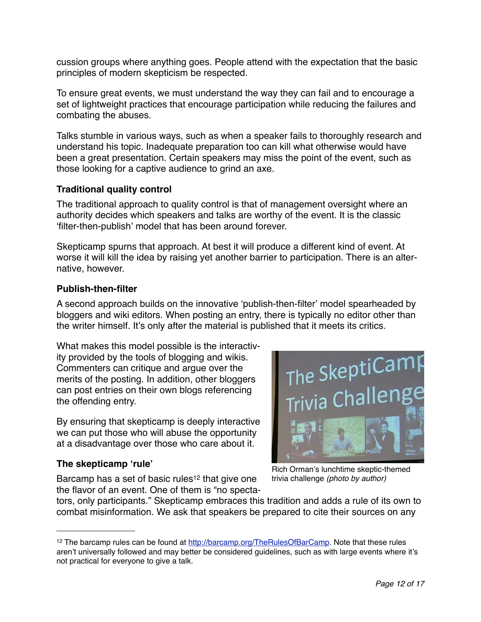cussion groups where anything goes. People attend with the expectation that the basic principles of modern skepticism be respected.

To ensure great events, we must understand the way they can fail and to encourage a set of lightweight practices that encourage participation while reducing the failures and combating the abuses.

Talks stumble in various ways, such as when a speaker fails to thoroughly research and understand his topic. Inadequate preparation too can kill what otherwise would have been a great presentation. Certain speakers may miss the point of the event, such as those looking for a captive audience to grind an axe.

#### **Traditional quality control**

The traditional approach to quality control is that of management oversight where an authority decides which speakers and talks are worthy of the event. It is the classic ʻfilter-then-publish' model that has been around forever.

Skepticamp spurns that approach. At best it will produce a different kind of event. At worse it will kill the idea by raising yet another barrier to participation. There is an alternative, however.

#### **Publish-then-filter**

A second approach builds on the innovative ʻpublish-then-filter' model spearheaded by bloggers and wiki editors. When posting an entry, there is typically no editor other than the writer himself. It's only after the material is published that it meets its critics.

What makes this model possible is the interactivity provided by the tools of blogging and wikis. Commenters can critique and argue over the merits of the posting. In addition, other bloggers can post entries on their own blogs referencing the offending entry.

By ensuring that skepticamp is deeply interactive we can put those who will abuse the opportunity at a disadvantage over those who care about it.

#### **The skepticamp ʻrule'**

Barcamp has a set of basic rules<sup>12</sup> that give one the flavor of an event. One of them is "no specta-



Rich Orman's lunchtime skeptic-themed trivia challenge *(photo by author)*

tors, only participants." Skepticamp embraces this tradition and adds a rule of its own to combat misinformation. We ask that speakers be prepared to cite their sources on any

<span id="page-11-0"></span><sup>12</sup> The barcamp rules can be found at [http://barcamp.org/TheRulesOfBarCamp. Note that these rules](http://barcamp.org/TheRulesOfBarCamp%06)  aren'[t universally followed and may better be considered guidelines, such as with large events where it](http://barcamp.org/TheRulesOfBarCamp%06)'s [not practical for everyone to give a talk.](http://barcamp.org/TheRulesOfBarCamp%06)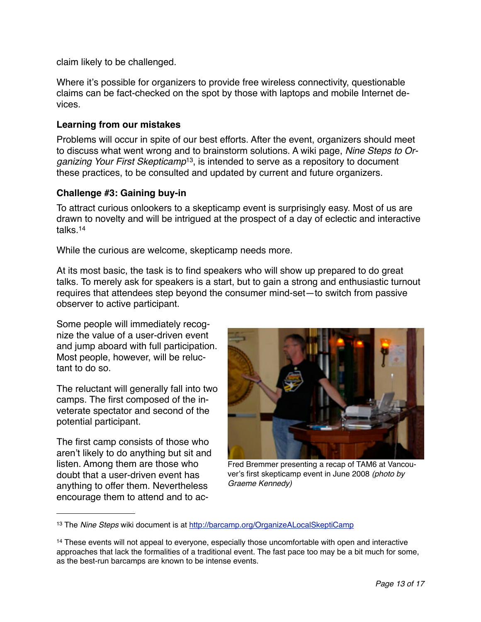claim likely to be challenged.

Where it's possible for organizers to provide free wireless connectivity, questionable claims can be fact-checked on the spot by those with laptops and mobile Internet devices.

#### **Learning from our mistakes**

Problems will occur in spite of our best efforts. After the event, organizers should meet to discuss what went wrong and to brainstorm solutions. A wiki page, *[Nine Steps to Or](http://barcamp.org/OrganizeALocalSkeptiCamp)[ganizing Your First Skepticamp](http://barcamp.org/OrganizeALocalSkeptiCamp)*[13,](#page-12-0) is intended to serve as a repository to document these practices, to be consulted and updated by current and future organizers.

#### **Challenge #3: Gaining buy-in**

To attract curious onlookers to a skepticamp event is surprisingly easy. Most of us are drawn to novelty and will be intrigued at the prospect of a day of eclectic and interactive talks[.14](#page-12-1)

While the curious are welcome, skepticamp needs more.

At its most basic, the task is to find speakers who will show up prepared to do great talks. To merely ask for speakers is a start, but to gain a strong and enthusiastic turnout requires that attendees step beyond the consumer mind-set—to switch from passive observer to active participant.

Some people will immediately recognize the value of a user-driven event and jump aboard with full participation. Most people, however, will be reluctant to do so.

The reluctant will generally fall into two camps. The first composed of the inveterate spectator and second of the potential participant.

The first camp consists of those who aren't likely to do anything but sit and listen. Among them are those who doubt that a user-driven event has anything to offer them. Nevertheless encourage them to attend and to ac-



Fred Bremmer presenting a recap of TAM6 at Vancouver's first skepticamp event in June 2008 *(photo by Graeme Kennedy)*

<span id="page-12-0"></span><sup>13</sup> The *Nine Steps* wiki document is at [http://barcamp.org/OrganizeALocalSkeptiCamp](http://barcamp.org/OrganizeALocalSkeptiCamp%06)

<span id="page-12-1"></span><sup>&</sup>lt;sup>14</sup> These events will not appeal to everyone, especially those uncomfortable with open and interactive approaches that lack the formalities of a traditional event. The fast pace too may be a bit much for some, as the best-run barcamps are known to be intense events.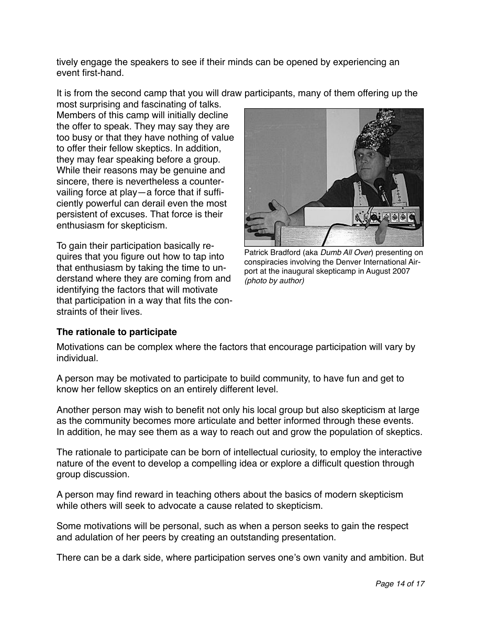tively engage the speakers to see if their minds can be opened by experiencing an event first-hand.

It is from the second camp that you will draw participants, many of them offering up the

most surprising and fascinating of talks. Members of this camp will initially decline the offer to speak. They may say they are too busy or that they have nothing of value to offer their fellow skeptics. In addition, they may fear speaking before a group. While their reasons may be genuine and sincere, there is nevertheless a countervailing force at play—a force that if sufficiently powerful can derail even the most persistent of excuses. That force is their enthusiasm for skepticism.

To gain their participation basically requires that you figure out how to tap into that enthusiasm by taking the time to understand where they are coming from and identifying the factors that will motivate that participation in a way that fits the constraints of their lives.



Patrick Bradford (aka *Dumb All Over*) presenting on conspiracies involving the Denver International Airport at the inaugural skepticamp in August 2007 *(photo by author)*

#### **The rationale to participate**

Motivations can be complex where the factors that encourage participation will vary by individual.

A person may be motivated to participate to build community, to have fun and get to know her fellow skeptics on an entirely different level.

Another person may wish to benefit not only his local group but also skepticism at large as the community becomes more articulate and better informed through these events. In addition, he may see them as a way to reach out and grow the population of skeptics.

The rationale to participate can be born of intellectual curiosity, to employ the interactive nature of the event to develop a compelling idea or explore a difficult question through group discussion.

A person may find reward in teaching others about the basics of modern skepticism while others will seek to advocate a cause related to skepticism.

Some motivations will be personal, such as when a person seeks to gain the respect and adulation of her peers by creating an outstanding presentation.

There can be a dark side, where participation serves one's own vanity and ambition. But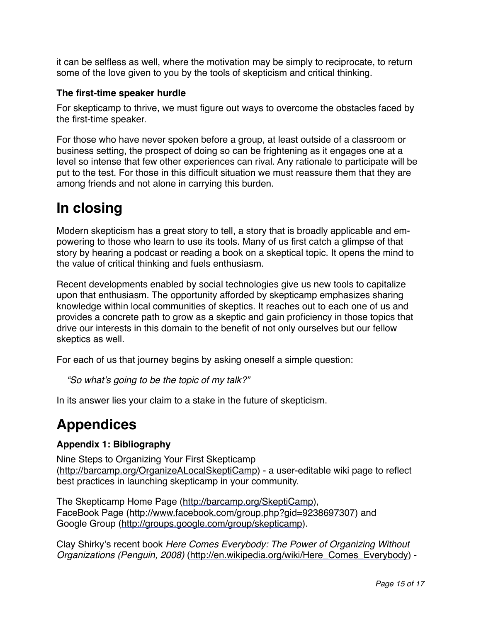it can be selfless as well, where the motivation may be simply to reciprocate, to return some of the love given to you by the tools of skepticism and critical thinking.

#### **The first-time speaker hurdle**

For skepticamp to thrive, we must figure out ways to overcome the obstacles faced by the first-time speaker.

For those who have never spoken before a group, at least outside of a classroom or business setting, the prospect of doing so can be frightening as it engages one at a level so intense that few other experiences can rival. Any rationale to participate will be put to the test. For those in this difficult situation we must reassure them that they are among friends and not alone in carrying this burden.

# **In closing**

Modern skepticism has a great story to tell, a story that is broadly applicable and empowering to those who learn to use its tools. Many of us first catch a glimpse of that story by hearing a podcast or reading a book on a skeptical topic. It opens the mind to the value of critical thinking and fuels enthusiasm.

Recent developments enabled by social technologies give us new tools to capitalize upon that enthusiasm. The opportunity afforded by skepticamp emphasizes sharing knowledge within local communities of skeptics. It reaches out to each one of us and provides a concrete path to grow as a skeptic and gain proficiency in those topics that drive our interests in this domain to the benefit of not only ourselves but our fellow skeptics as well.

For each of us that journey begins by asking oneself a simple question:

*"So what*'*s going to be the topic of my talk?"*

In its answer lies your claim to a stake in the future of skepticism.

# **Appendices**

#### **Appendix 1: Bibliography**

Nine Steps to Organizing Your First Skepticamp (<http://barcamp.org/OrganizeALocalSkeptiCamp>) - a user-editable wiki page to reflect best practices in launching skepticamp in your community.

The Skepticamp Home Page ([http://barcamp.org/SkeptiCamp\)](http://barcamp.org/SkeptiCamp), FaceBook Page ([http://www.facebook.com/group.php?gid=9238697307\)](http://www.facebook.com/group.php?gid=9238697307) and Google Group ([http://groups.google.com/group/skepticamp\)](http://groups.google.com/group/skepticamp).

Clay Shirky's recent book *Here Comes Everybody: The Power of Organizing Without Organizations (Penguin, 2008)* [\(http://en.wikipedia.org/wiki/Here\\_Comes\\_Everybody\)](http://en.wikipedia.org/wiki/Here_Comes_Everybody) -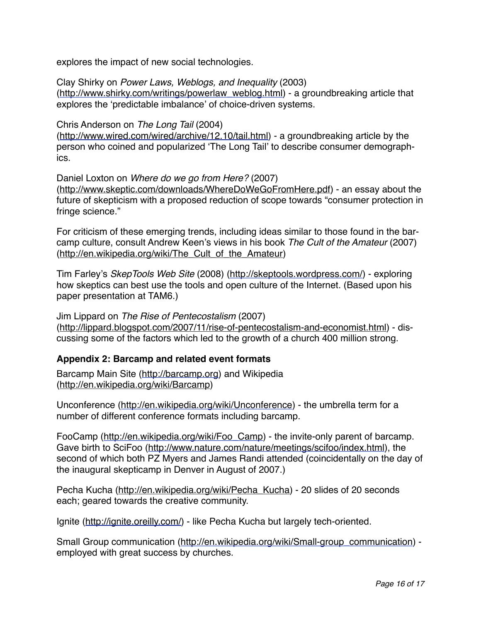explores the impact of new social technologies.

Clay Shirky on *Power Laws, Weblogs, and Inequality* (2003) ([http://www.shirky.com/writings/powerlaw\\_weblog.html\)](http://www.shirky.com/writings/powerlaw_weblog.html) - a groundbreaking article that explores the ʻpredictable imbalance' of choice-driven systems.

#### Chris Anderson on *The Long Tail* (2004)

(<http://www.wired.com/wired/archive/12.10/tail.html>) - a groundbreaking article by the person who coined and popularized ʻThe Long Tail' to describe consumer demographics.

Daniel Loxton on *Where do we go from Here?* (2007) ([http://www.skeptic.com/downloads/WhereDoWeGoFromHere.pdf\)](http://www.skeptic.com/downloads/WhereDoWeGoFromHere.pdf) - an essay about the future of skepticism with a proposed reduction of scope towards "consumer protection in fringe science."

For criticism of these emerging trends, including ideas similar to those found in the barcamp culture, consult Andrew Keen's views in his book *The Cult of the Amateur* (2007) ([http://en.wikipedia.org/wiki/The\\_Cult\\_of\\_the\\_Amateur](http://en.wikipedia.org/wiki/The_Cult_of_the_Amateur))

Tim Farley's *SkepTools Web Site* (2008) (<http://skeptools.wordpress.com/>) - exploring how skeptics can best use the tools and open culture of the Internet. (Based upon his paper presentation at TAM6.)

Jim Lippard on *The Rise of Pentecostalism* (2007) ([http://lippard.blogspot.com/2007/11/rise-of-pentecostalism-and-economist.html\)](http://lippard.blogspot.com/2007/11/rise-of-pentecostalism-and-economist.html) - discussing some of the factors which led to the growth of a church 400 million strong.

#### **Appendix 2: Barcamp and related event formats**

Barcamp Main Site (<http://barcamp.org>) and Wikipedia (<http://en.wikipedia.org/wiki/Barcamp>)

Unconference [\(http://en.wikipedia.org/wiki/Unconference](http://en.wikipedia.org/wiki/Unconference)) - the umbrella term for a number of different conference formats including barcamp.

FooCamp [\(http://en.wikipedia.org/wiki/Foo\\_Camp\)](http://en.wikipedia.org/wiki/Foo_Camp) - the invite-only parent of barcamp. Gave birth to SciFoo ([http://www.nature.com/nature/meetings/scifoo/index.html\)](http://www.nature.com/nature/meetings/scifoo/index.html), the second of which both PZ Myers and James Randi attended (coincidentally on the day of the inaugural skepticamp in Denver in August of 2007.)

Pecha Kucha ([http://en.wikipedia.org/wiki/Pecha\\_Kucha\)](http://en.wikipedia.org/wiki/Pecha_Kucha) - 20 slides of 20 seconds each; geared towards the creative community.

Ignite ([http://ignite.oreilly.com/\)](http://ignite.oreilly.com/) - like Pecha Kucha but largely tech-oriented.

Small Group communication [\(http://en.wikipedia.org/wiki/Small-group\\_communication\)](http://en.wikipedia.org/wiki/Small-group_communication) employed with great success by churches.